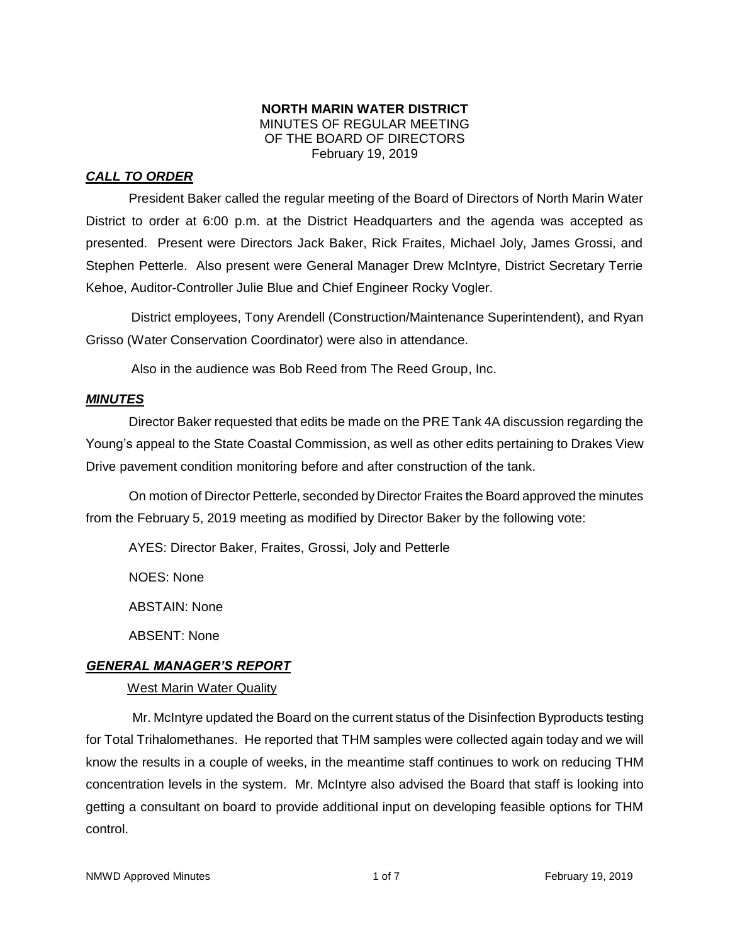### **NORTH MARIN WATER DISTRICT** MINUTES OF REGULAR MEETING OF THE BOARD OF DIRECTORS February 19, 2019

# *CALL TO ORDER*

President Baker called the regular meeting of the Board of Directors of North Marin Water District to order at 6:00 p.m. at the District Headquarters and the agenda was accepted as presented. Present were Directors Jack Baker, Rick Fraites, Michael Joly, James Grossi, and Stephen Petterle. Also present were General Manager Drew McIntyre, District Secretary Terrie Kehoe, Auditor-Controller Julie Blue and Chief Engineer Rocky Vogler.

District employees, Tony Arendell (Construction/Maintenance Superintendent), and Ryan Grisso (Water Conservation Coordinator) were also in attendance.

Also in the audience was Bob Reed from The Reed Group, Inc.

## *MINUTES*

Director Baker requested that edits be made on the PRE Tank 4A discussion regarding the Young's appeal to the State Coastal Commission, as well as other edits pertaining to Drakes View Drive pavement condition monitoring before and after construction of the tank.

On motion of Director Petterle, seconded by Director Fraites the Board approved the minutes from the February 5, 2019 meeting as modified by Director Baker by the following vote:

AYES: Director Baker, Fraites, Grossi, Joly and Petterle

NOES: None

ABSTAIN: None

ABSENT: None

## *GENERAL MANAGER'S REPORT*

## West Marin Water Quality

Mr. McIntyre updated the Board on the current status of the Disinfection Byproducts testing for Total Trihalomethanes. He reported that THM samples were collected again today and we will know the results in a couple of weeks, in the meantime staff continues to work on reducing THM concentration levels in the system. Mr. McIntyre also advised the Board that staff is looking into getting a consultant on board to provide additional input on developing feasible options for THM control.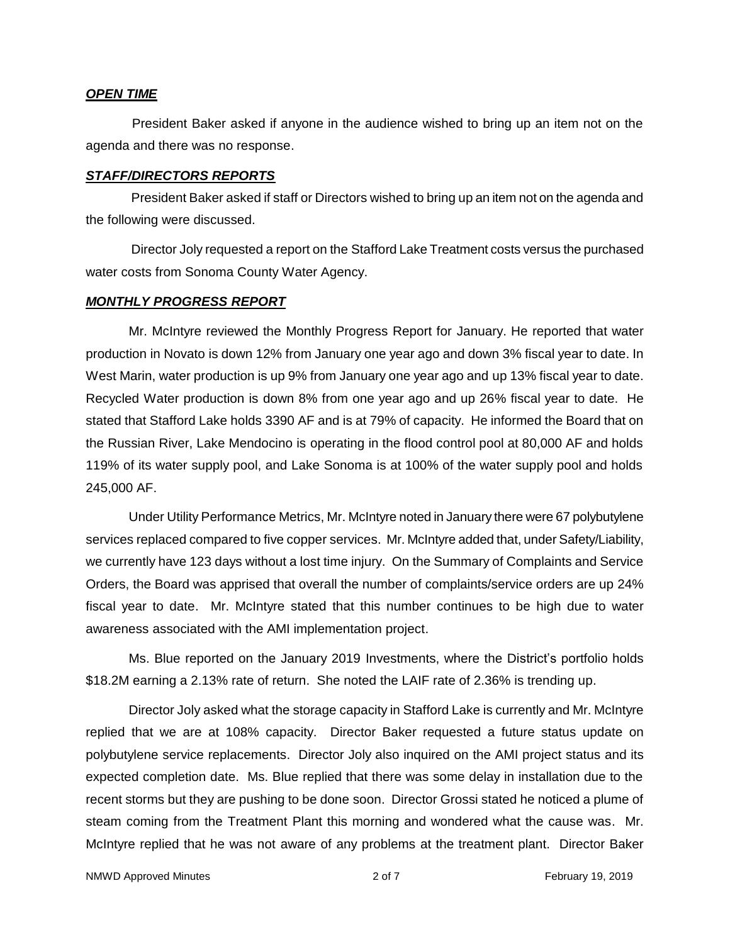#### *OPEN TIME*

President Baker asked if anyone in the audience wished to bring up an item not on the agenda and there was no response.

#### *STAFF/DIRECTORS REPORTS*

President Baker asked if staff or Directors wished to bring up an item not on the agenda and the following were discussed.

Director Joly requested a report on the Stafford Lake Treatment costs versus the purchased water costs from Sonoma County Water Agency.

#### *MONTHLY PROGRESS REPORT*

Mr. McIntyre reviewed the Monthly Progress Report for January. He reported that water production in Novato is down 12% from January one year ago and down 3% fiscal year to date. In West Marin, water production is up 9% from January one year ago and up 13% fiscal year to date. Recycled Water production is down 8% from one year ago and up 26% fiscal year to date. He stated that Stafford Lake holds 3390 AF and is at 79% of capacity. He informed the Board that on the Russian River, Lake Mendocino is operating in the flood control pool at 80,000 AF and holds 119% of its water supply pool, and Lake Sonoma is at 100% of the water supply pool and holds 245,000 AF.

Under Utility Performance Metrics, Mr. McIntyre noted in January there were 67 polybutylene services replaced compared to five copper services. Mr. McIntyre added that, under Safety/Liability, we currently have 123 days without a lost time injury. On the Summary of Complaints and Service Orders, the Board was apprised that overall the number of complaints/service orders are up 24% fiscal year to date. Mr. McIntyre stated that this number continues to be high due to water awareness associated with the AMI implementation project.

Ms. Blue reported on the January 2019 Investments, where the District's portfolio holds \$18.2M earning a 2.13% rate of return. She noted the LAIF rate of 2.36% is trending up.

Director Joly asked what the storage capacity in Stafford Lake is currently and Mr. McIntyre replied that we are at 108% capacity. Director Baker requested a future status update on polybutylene service replacements. Director Joly also inquired on the AMI project status and its expected completion date. Ms. Blue replied that there was some delay in installation due to the recent storms but they are pushing to be done soon. Director Grossi stated he noticed a plume of steam coming from the Treatment Plant this morning and wondered what the cause was. Mr. McIntyre replied that he was not aware of any problems at the treatment plant. Director Baker

NMWD Approved Minutes **2019 2 of 7** February 19, 2019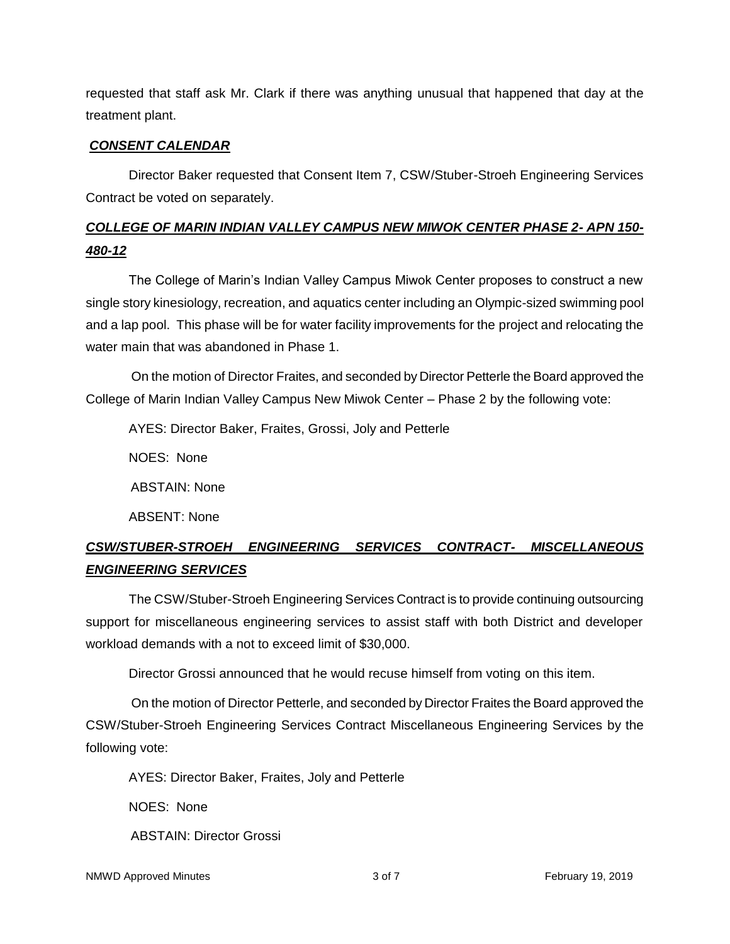requested that staff ask Mr. Clark if there was anything unusual that happened that day at the treatment plant.

## *CONSENT CALENDAR*

Director Baker requested that Consent Item 7, CSW/Stuber-Stroeh Engineering Services Contract be voted on separately.

# *COLLEGE OF MARIN INDIAN VALLEY CAMPUS NEW MIWOK CENTER PHASE 2- APN 150- 480-12*

The College of Marin's Indian Valley Campus Miwok Center proposes to construct a new single story kinesiology, recreation, and aquatics center including an Olympic-sized swimming pool and a lap pool. This phase will be for water facility improvements for the project and relocating the water main that was abandoned in Phase 1.

On the motion of Director Fraites, and seconded by Director Petterle the Board approved the College of Marin Indian Valley Campus New Miwok Center – Phase 2 by the following vote:

AYES: Director Baker, Fraites, Grossi, Joly and Petterle

NOES: None

ABSTAIN: None

ABSENT: None

# *CSW/STUBER-STROEH ENGINEERING SERVICES CONTRACT- MISCELLANEOUS ENGINEERING SERVICES*

The CSW/Stuber-Stroeh Engineering Services Contract is to provide continuing outsourcing support for miscellaneous engineering services to assist staff with both District and developer workload demands with a not to exceed limit of \$30,000.

Director Grossi announced that he would recuse himself from voting on this item.

On the motion of Director Petterle, and seconded by Director Fraites the Board approved the CSW/Stuber-Stroeh Engineering Services Contract Miscellaneous Engineering Services by the following vote:

AYES: Director Baker, Fraites, Joly and Petterle

NOES: None

ABSTAIN: Director Grossi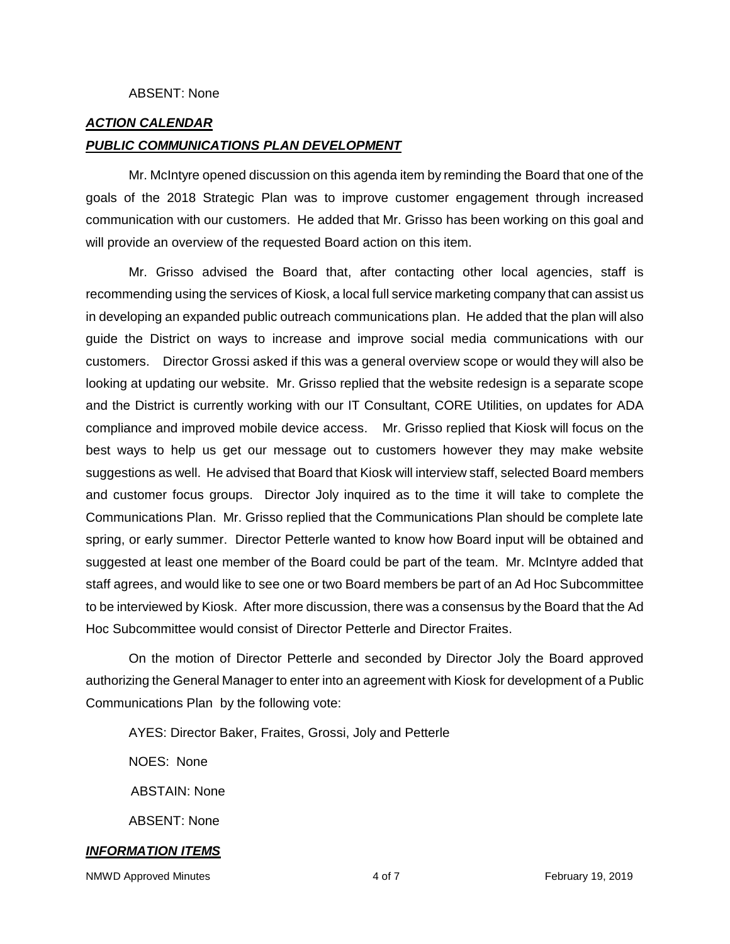#### ABSENT: None

#### *ACTION CALENDAR*

#### *PUBLIC COMMUNICATIONS PLAN DEVELOPMENT*

Mr. McIntyre opened discussion on this agenda item by reminding the Board that one of the goals of the 2018 Strategic Plan was to improve customer engagement through increased communication with our customers. He added that Mr. Grisso has been working on this goal and will provide an overview of the requested Board action on this item.

Mr. Grisso advised the Board that, after contacting other local agencies, staff is recommending using the services of Kiosk, a local full service marketing company that can assist us in developing an expanded public outreach communications plan. He added that the plan will also guide the District on ways to increase and improve social media communications with our customers. Director Grossi asked if this was a general overview scope or would they will also be looking at updating our website. Mr. Grisso replied that the website redesign is a separate scope and the District is currently working with our IT Consultant, CORE Utilities, on updates for ADA compliance and improved mobile device access. Mr. Grisso replied that Kiosk will focus on the best ways to help us get our message out to customers however they may make website suggestions as well. He advised that Board that Kiosk will interview staff, selected Board members and customer focus groups. Director Joly inquired as to the time it will take to complete the Communications Plan. Mr. Grisso replied that the Communications Plan should be complete late spring, or early summer. Director Petterle wanted to know how Board input will be obtained and suggested at least one member of the Board could be part of the team. Mr. McIntyre added that staff agrees, and would like to see one or two Board members be part of an Ad Hoc Subcommittee to be interviewed by Kiosk. After more discussion, there was a consensus by the Board that the Ad Hoc Subcommittee would consist of Director Petterle and Director Fraites.

On the motion of Director Petterle and seconded by Director Joly the Board approved authorizing the General Manager to enter into an agreement with Kiosk for development of a Public Communications Plan by the following vote:

AYES: Director Baker, Fraites, Grossi, Joly and Petterle

NOES: None

ABSTAIN: None

ABSENT: None

#### *INFORMATION ITEMS*

NMWD Approved Minutes and the control of the 4 of 7 The February 19, 2019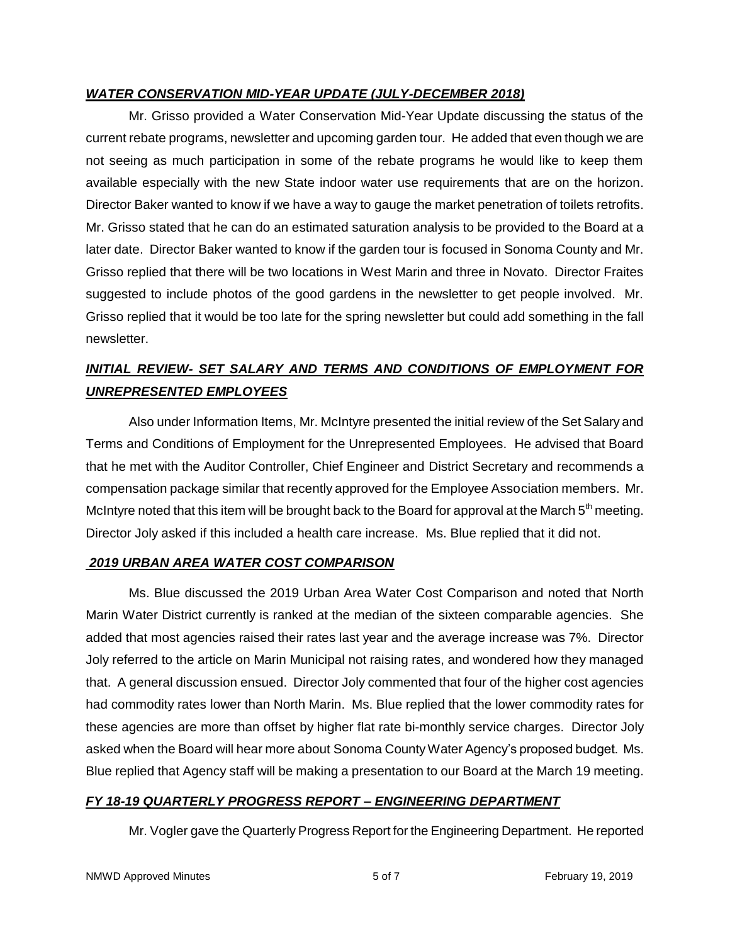## *WATER CONSERVATION MID-YEAR UPDATE (JULY-DECEMBER 2018)*

Mr. Grisso provided a Water Conservation Mid-Year Update discussing the status of the current rebate programs, newsletter and upcoming garden tour. He added that even though we are not seeing as much participation in some of the rebate programs he would like to keep them available especially with the new State indoor water use requirements that are on the horizon. Director Baker wanted to know if we have a way to gauge the market penetration of toilets retrofits. Mr. Grisso stated that he can do an estimated saturation analysis to be provided to the Board at a later date. Director Baker wanted to know if the garden tour is focused in Sonoma County and Mr. Grisso replied that there will be two locations in West Marin and three in Novato. Director Fraites suggested to include photos of the good gardens in the newsletter to get people involved. Mr. Grisso replied that it would be too late for the spring newsletter but could add something in the fall newsletter.

# *INITIAL REVIEW- SET SALARY AND TERMS AND CONDITIONS OF EMPLOYMENT FOR UNREPRESENTED EMPLOYEES*

Also under Information Items, Mr. McIntyre presented the initial review of the Set Salary and Terms and Conditions of Employment for the Unrepresented Employees. He advised that Board that he met with the Auditor Controller, Chief Engineer and District Secretary and recommends a compensation package similar that recently approved for the Employee Association members. Mr. McIntyre noted that this item will be brought back to the Board for approval at the March  $5<sup>th</sup>$  meeting. Director Joly asked if this included a health care increase. Ms. Blue replied that it did not.

## *2019 URBAN AREA WATER COST COMPARISON*

Ms. Blue discussed the 2019 Urban Area Water Cost Comparison and noted that North Marin Water District currently is ranked at the median of the sixteen comparable agencies. She added that most agencies raised their rates last year and the average increase was 7%. Director Joly referred to the article on Marin Municipal not raising rates, and wondered how they managed that. A general discussion ensued. Director Joly commented that four of the higher cost agencies had commodity rates lower than North Marin. Ms. Blue replied that the lower commodity rates for these agencies are more than offset by higher flat rate bi-monthly service charges. Director Joly asked when the Board will hear more about Sonoma County Water Agency's proposed budget. Ms. Blue replied that Agency staff will be making a presentation to our Board at the March 19 meeting.

## *FY 18-19 QUARTERLY PROGRESS REPORT – ENGINEERING DEPARTMENT*

Mr. Vogler gave the Quarterly Progress Report for the Engineering Department. He reported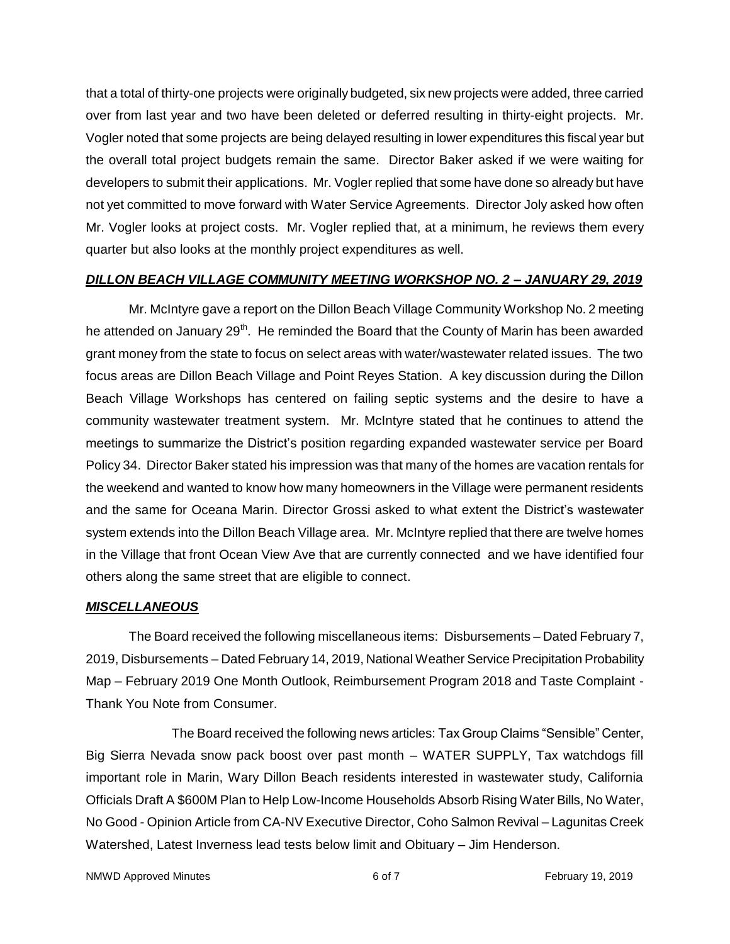that a total of thirty-one projects were originally budgeted, six new projects were added, three carried over from last year and two have been deleted or deferred resulting in thirty-eight projects. Mr. Vogler noted that some projects are being delayed resulting in lower expenditures this fiscal year but the overall total project budgets remain the same. Director Baker asked if we were waiting for developers to submit their applications. Mr. Vogler replied that some have done so already but have not yet committed to move forward with Water Service Agreements. Director Joly asked how often Mr. Vogler looks at project costs. Mr. Vogler replied that, at a minimum, he reviews them every quarter but also looks at the monthly project expenditures as well.

## *DILLON BEACH VILLAGE COMMUNITY MEETING WORKSHOP NO. 2 – JANUARY 29, 2019*

Mr. McIntyre gave a report on the Dillon Beach Village Community Workshop No. 2 meeting he attended on January 29<sup>th</sup>. He reminded the Board that the County of Marin has been awarded grant money from the state to focus on select areas with water/wastewater related issues. The two focus areas are Dillon Beach Village and Point Reyes Station. A key discussion during the Dillon Beach Village Workshops has centered on failing septic systems and the desire to have a community wastewater treatment system. Mr. McIntyre stated that he continues to attend the meetings to summarize the District's position regarding expanded wastewater service per Board Policy 34. Director Baker stated his impression was that many of the homes are vacation rentals for the weekend and wanted to know how many homeowners in the Village were permanent residents and the same for Oceana Marin. Director Grossi asked to what extent the District's wastewater system extends into the Dillon Beach Village area. Mr. McIntyre replied that there are twelve homes in the Village that front Ocean View Ave that are currently connected and we have identified four others along the same street that are eligible to connect.

## *MISCELLANEOUS*

The Board received the following miscellaneous items: Disbursements – Dated February 7, 2019, Disbursements – Dated February 14, 2019, National Weather Service Precipitation Probability Map – February 2019 One Month Outlook, Reimbursement Program 2018 and Taste Complaint -Thank You Note from Consumer.

The Board received the following news articles: Tax Group Claims "Sensible" Center, Big Sierra Nevada snow pack boost over past month – WATER SUPPLY, Tax watchdogs fill important role in Marin, Wary Dillon Beach residents interested in wastewater study, California Officials Draft A \$600M Plan to Help Low-Income Households Absorb Rising Water Bills, No Water, No Good - Opinion Article from CA-NV Executive Director, Coho Salmon Revival – Lagunitas Creek Watershed, Latest Inverness lead tests below limit and Obituary – Jim Henderson.

NMWD Approved Minutes **6 of 7** and 8 of 7 February 19, 2019